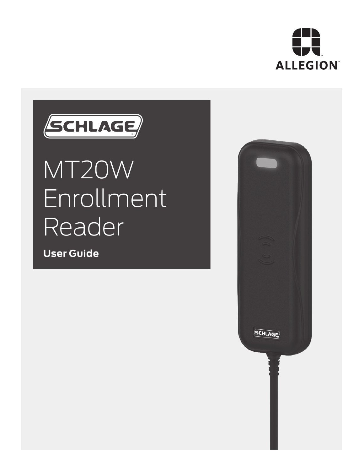

# SCHLAGE

# MT20W **Enrollment** Reader

**User Guide**

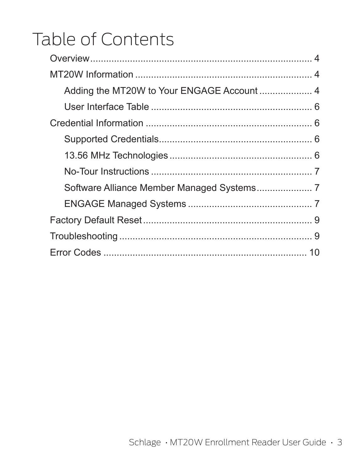# Table of Contents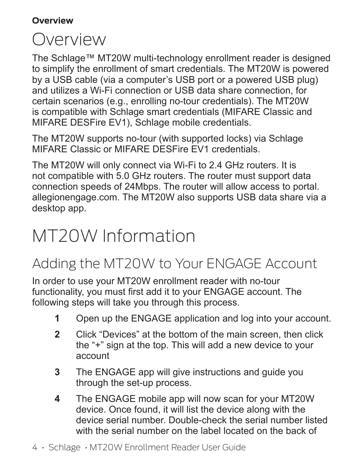#### **Overview**

## Overview

The Schlage™ MT20W multi-technology enrollment reader is designed to simplify the enrollment of smart credentials. The MT20W is powered by a USB cable (via a computer's USB port or a powered USB plug) and utilizes a Wi-Fi connection or USB data share connection, for certain scenarios (e.g., enrolling no-tour credentials). The MT20W is compatible with Schlage smart credentials (MIFARE Classic and MIFARE DESFire EV1), Schlage mobile credentials.

The MT20W supports no-tour (with supported locks) via Schlage MIFARE Classic or MIFARE DESFire EV1 credentials.

The MT20W will only connect via Wi-Fi to 2.4 GHz routers. It is not compatible with 5.0 GHz routers. The router must support data connection speeds of 24Mbps. The router will allow access to portal. allegionengage.com. The MT20W also supports USB data share via a desktop app.

## MT20W Information

## Adding the MT20W to Your ENGAGE Account

In order to use your MT20W enrollment reader with no-tour functionality, you must first add it to your ENGAGE account. The following steps will take you through this process.

- **1** Open up the ENGAGE application and log into your account.
- **2** Click "Devices" at the bottom of the main screen, then click the "+" sign at the top. This will add a new device to your account
- **3** The ENGAGE app will give instructions and guide you through the set-up process.
- **4** The ENGAGE mobile app will now scan for your MT20W device. Once found, it will list the device along with the device serial number. Double-check the serial number listed with the serial number on the label located on the back of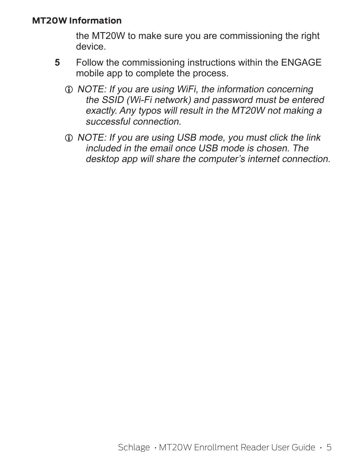#### **MT20W Information**

the MT20W to make sure you are commissioning the right device.

- **5** Follow the commissioning instructions within the ENGAGE mobile app to complete the process.
	- $D$  NOTE: If you are using WiFi, the information concerning the SSID (Wi-Fi network) and password must be entered exactly. Any typos will result in the MT20W not making a successful connection.
	- $D$  NOTE: If you are using USB mode, you must click the link included in the email once USB mode is chosen. The desktop app will share the computer's internet connection.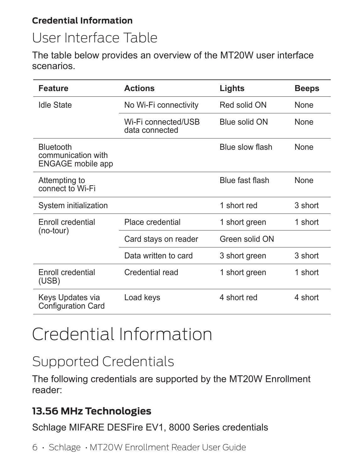#### **Credential Information**

## User Interface Table

The table below provides an overview of the MT20W user interface scenarios.

| Feature                                                     | <b>Actions</b>                        | Lights          | Beeps       |
|-------------------------------------------------------------|---------------------------------------|-----------------|-------------|
| Idle State                                                  | No Wi-Fi connectivity                 | Red solid ON    | <b>None</b> |
|                                                             | Wi-Fi connected/USB<br>data connected | Blue solid ON   | <b>None</b> |
| Bluetooth<br>communication with<br><b>ENGAGE</b> mobile app |                                       | Blue slow flash | <b>None</b> |
| Attempting to<br>connect to Wi-Fi                           |                                       | Blue fast flash | None        |
| System initialization                                       |                                       | 1 short red     | 3 short     |
| <b>Enroll credential</b>                                    | Place credential                      | 1 short green   | 1 short     |
| (no-tour)                                                   | Card stays on reader                  | Green solid ON  |             |
|                                                             | Data written to card                  | 3 short green   | 3 short     |
| Enroll credential<br>(USE)                                  | Credential read                       | 1 short green   | 1 short     |
| Keys Updates via<br><b>Configuration Card</b>               | Load keys                             | 4 short red     | 4 short     |

# Credential Information

## Supported Credentials

The following credentials are supported by the MT20W Enrollment reader:

### **13.56 MHz Technologies**

Schlage MIFARE DESFire EV1, 8000 Series credentials

6 • Schlage • MT20W Enrollment Reader User Guide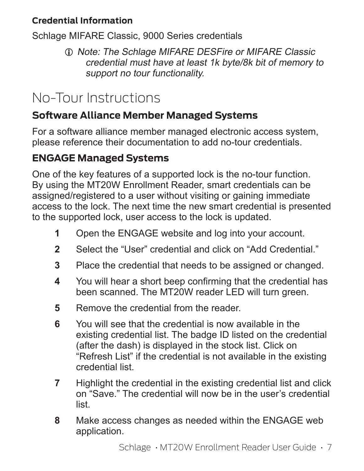#### **Credential Information**

Schlage MIFARE Classic, 9000 Series credentials

 $Q$  Note: The Schlage MIFARE DESFire or MIFARE Classic credential must have at least 1k byte/8k bit of memory to support no tour functionality.

## No-Tour Instructions

## **Software Alliance Member Managed Systems**

For a software alliance member managed electronic access system, please reference their documentation to add no-tour credentials.

## **ENGAGE Managed Systems**

One of the key features of a supported lock is the no-tour function. By using the MT20W Enrollment Reader, smart credentials can be assigned/registered to a user without visiting or gaining immediate access to the lock. The next time the new smart credential is presented to the supported lock, user access to the lock is updated.

- **1** Open the ENGAGE website and log into your account.
- **2** Select the "User" credential and click on "Add Credential."
- **3** Place the credential that needs to be assigned or changed.
- **4** You will hear a short beep confirming that the credential has been scanned. The MT20W reader LED will turn green.
- **5** Remove the credential from the reader.
- **6** You will see that the credential is now available in the existing credential list. The badge ID listed on the credential (after the dash) is displayed in the stock list. Click on "Refresh List" if the credential is not available in the existing credential list.
- **7** Highlight the credential in the existing credential list and click on "Save." The credential will now be in the user's credential list.
- **8** Make access changes as needed within the ENGAGE web application.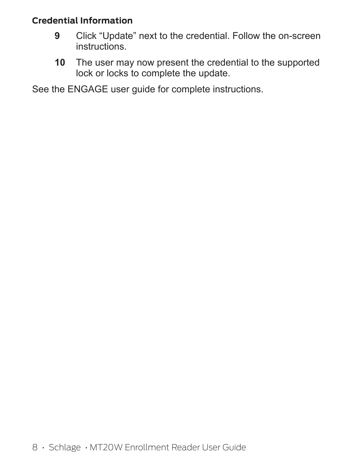#### **Credential Information**

- **9** Click "Update" next to the credential. Follow the on-screen instructions.
- **10** The user may now present the credential to the supported lock or locks to complete the update.

See the ENGAGE user guide for complete instructions.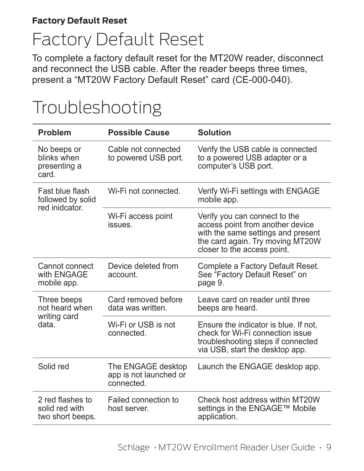# Factory Default Reset

To complete a factory default reset for the MT20W reader, disconnect and reconnect the USB cable. After the reader beeps three times, present a "MT20W Factory Default Reset" card (CE-000-040).

| Problem                                                                         | <b>Possible Cause</b>                                      | Solution                                                                                                                                                                   |
|---------------------------------------------------------------------------------|------------------------------------------------------------|----------------------------------------------------------------------------------------------------------------------------------------------------------------------------|
| No beeps or<br>blinks when<br>presenting a<br>card.                             | Cable not connected<br>to powered USB port.                | Verify the USB cable is connected<br>to a powered USB adapter or a<br>computer's USB port.                                                                                 |
| Fast blue flash<br>followed by solid<br>red inidcator.                          | Wi-Fi not connected.                                       | Verify Wi-Fi settings with ENGAGE<br>mobile app.                                                                                                                           |
|                                                                                 | Wi-Fi access point<br><i>issues</i>                        | Verify you can connect to the<br>access point from another device<br>with the same settings and present<br>the card again. Try moving MT20W<br>closer to the access point. |
| Device deleted from<br>Cannot connect<br>with ENGAGE<br>account.<br>mobile app. |                                                            | Complete a Factory Default Reset.<br>See "Factory Default Reset" on<br>page 9.                                                                                             |
| Three beeps<br>not heard when                                                   | Card removed before<br>data was written                    | Leave card on reader until three<br>beeps are heard.                                                                                                                       |
| writing card<br>data.                                                           | Wi-Fi or USB is not<br>connected.                          | Ensure the indicator is blue. If not,<br>check for Wi-Fi connection issue<br>troubleshooting steps if connected<br>via USB, start the desktop app.                         |
| Solid red                                                                       | The ENGAGE desktop<br>app is not launched or<br>connected. | Launch the ENGAGE desktop app.                                                                                                                                             |
| 2 red flashes to<br>solid red with<br>two short beeps.                          | Failed connection to<br>host server.                       | Check host address within MT20W<br>settings in the ENGAGE™ Mobile<br>application.                                                                                          |

# Troubleshooting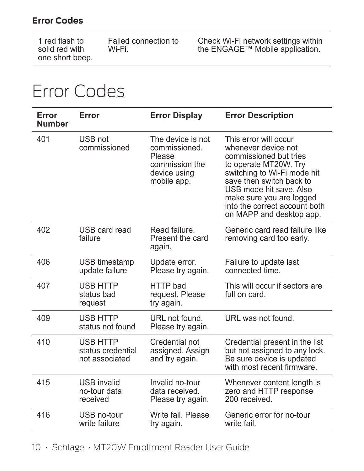#### **Error Codes**

| 1 red flash to  | Failed connection to |
|-----------------|----------------------|
| solid red with  | Wi-Fi.               |
| one short beep. |                      |

Check Wi-Fi network settings within the ENGAGE™ Mobile application.

## Error Codes

| Error<br><b>Number</b> | Error                                                  | <b>Error Display</b>                                                                          | <b>Error Description</b>                                                                                                                                                                                                                                                       |
|------------------------|--------------------------------------------------------|-----------------------------------------------------------------------------------------------|--------------------------------------------------------------------------------------------------------------------------------------------------------------------------------------------------------------------------------------------------------------------------------|
| 401                    | USB not<br>commissioned                                | The device is not<br>commissioned.<br>Please<br>commission the<br>device using<br>mobile app. | This error will occur<br>whenever device not<br>commissioned but tries<br>to operate MT20W. Try<br>switching to Wi-Fi mode hit<br>save then switch back to<br>USB mode hit save. Also<br>make sure you are logged<br>into the correct account both<br>on MAPP and desktop app. |
| 402                    | USB card read<br>failure                               | Read failure<br>Present the card<br>again.                                                    | Generic card read failure like<br>removing card too early.                                                                                                                                                                                                                     |
| 406                    | USB timestamp<br>update failure                        | Update error.<br>Please try again.                                                            | Failure to update last<br>connected time.                                                                                                                                                                                                                                      |
| 407                    | USB HTTP<br>status bad<br>request                      | HTTP bad<br>request. Please<br>try again.                                                     | This will occur if sectors are<br>full on card.                                                                                                                                                                                                                                |
| 409                    | <b>USB HTTP</b><br>status not found                    | URL not found.<br>Please try again.                                                           | URL was not found.                                                                                                                                                                                                                                                             |
| 410                    | <b>USB HTTP</b><br>status credential<br>not associated | Credential not<br>assigned. Assign<br>and try again.                                          | Credential present in the list<br>but not assigned to any lock.<br>Be sure device is updated<br>with most recent firmware.                                                                                                                                                     |
| 415                    | <b>USB</b> invalid<br>no-tour data<br>received         | Invalid no-tour<br>data received.<br>Please try again.                                        | Whenever content length is<br>zero and HTTP response<br>200 received                                                                                                                                                                                                           |
| 416                    | USB no-tour<br>write failure                           | Write fail, Please<br>try again.                                                              | Generic error for no-tour<br>write fail.                                                                                                                                                                                                                                       |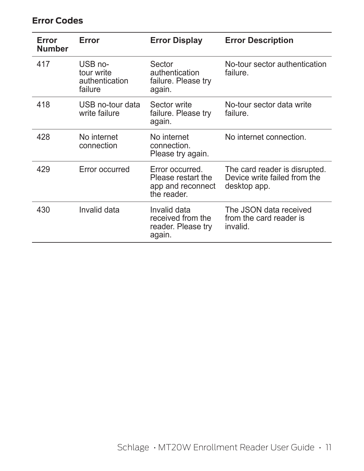#### **Error Codes**

| Error<br><b>Number</b> | Error                                              | <b>Error Display</b>                                                      | <b>Error Description</b>                                                      |
|------------------------|----------------------------------------------------|---------------------------------------------------------------------------|-------------------------------------------------------------------------------|
| 417                    | USB no-<br>tour write<br>authentication<br>failure | Sector<br>authentication<br>failure. Please try<br>again.                 | No-tour sector authentication<br>failure.                                     |
| 418                    | USB no-tour data<br>write failure                  | Sector write<br>failure. Please try<br>again.                             | No-tour sector data write<br>failure.                                         |
| 428                    | No internet<br>connection                          | No internet<br>connection.<br>Please try again.                           | No internet connection.                                                       |
| 429                    | Error occurred                                     | Error occurred.<br>Please restart the<br>app and reconnect<br>the reader. | The card reader is disrupted.<br>Device write failed from the<br>desktop app. |
| 430                    | Invalid data                                       | Invalid data<br>received from the<br>reader. Please try<br>again.         | The JSON data received<br>from the card reader is<br>invalid.                 |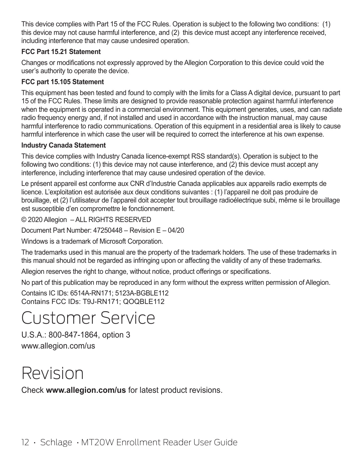This device complies with Part 15 of the FCC Rules. Operation is subject to the following two conditions: (1) this device may not cause harmful interference, and (2) this device must accept any interference received, including interference that may cause undesired operation.

#### **FCC Part 15.21 Statement**

Changes or modifications not expressly approved by the Allegion Corporation to this device could void the user's authority to operate the device.

#### **FCC part 15.105 Statement**

This equipment has been tested and found to comply with the limits for a Class A digital device, pursuant to part 15 of the FCC Rules. These limits are designed to provide reasonable protection against harmful interference when the equipment is operated in a commercial environment. This equipment generates, uses, and can radiate radio frequency energy and, if not installed and used in accordance with the instruction manual, may cause harmful interference to radio communications. Operation of this equipment in a residential area is likely to cause harmful interference in which case the user will be required to correct the interference at his own expense.

#### **Industry Canada Statement**

This device complies with Industry Canada licence-exempt RSS standard(s). Operation is subject to the following two conditions: (1) this device may not cause interference, and (2) this device must accept any interference, including interference that may cause undesired operation of the device.

Le présent appareil est conforme aux CNR d'Industrie Canada applicables aux appareils radio exempts de licence. L'exploitation est autorisée aux deux conditions suivantes : (1) l'appareil ne doit pas produire de brouillage, et (2) l'utilisateur de l'appareil doit accepter tout brouillage radioélectrique subi, même si le brouillage est susceptible d'en compromettre le fonctionnement.

© 2020 Allegion – ALL RIGHTS RESERVED

Document Part Number:  $47250448 -$  Revision E  $- 04/20$ 

Windows is a trademark of Microsoft Corporation.

The trademarks used in this manual are the property of the trademark holders. The use of these trademarks in this manual should not be regarded as infringing upon or affecting the validity of any of these trademarks.

Allegion reserves the right to change, without notice, product offerings or specifications.

No part of this publication may be reproduced in any form without the express written permission of Allegion.

Contains IC IDs: 6514A-RN171; 5123A-BGBLE112 Contains FCC IDs: T9J-RN171; QOQBLE112

## Customer Service

U.S.A.: 800-847-1864, option 3 www.allegion.com/us

## Revision

Check **www.allegion.com/us** for latest product revisions.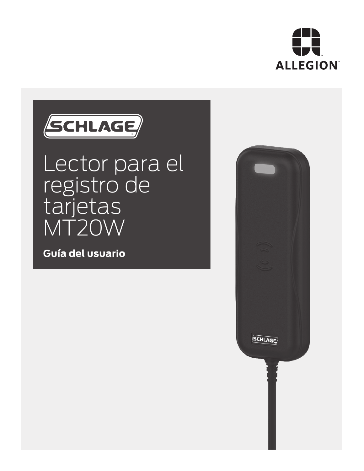



# Lector para el registro de tarjetas MT20W

**Guía del usuario**

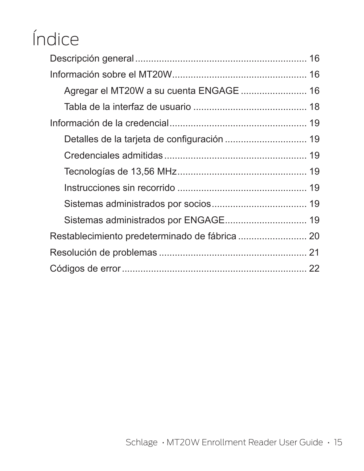# Índice

| Agregar el MT20W a su cuenta ENGAGE  16     |  |
|---------------------------------------------|--|
|                                             |  |
|                                             |  |
| Detalles de la tarjeta de configuración  19 |  |
|                                             |  |
|                                             |  |
|                                             |  |
|                                             |  |
|                                             |  |
|                                             |  |
|                                             |  |
|                                             |  |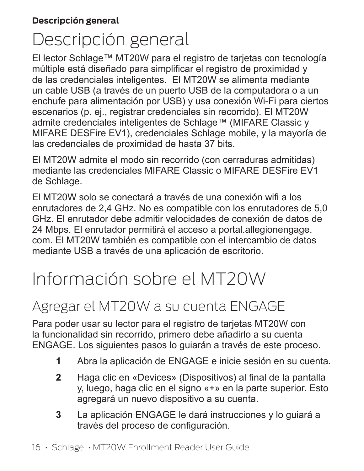# Descripción general

El lector Schlage™ MT20W para el registro de tarjetas con tecnología múltiple está diseñado para simplificar el registro de proximidad y de las credenciales inteligentes. El MT20W se alimenta mediante un cable USB (a través de un puerto USB de la computadora o a un enchufe para alimentación por USB) y usa conexión Wi-Fi para ciertos escenarios (p. ej., registrar credenciales sin recorrido). El MT20W admite credenciales inteligentes de Schlage™ (MIFARE Classic y MIFARE DESFire EV1), credenciales Schlage mobile, y la mayoría de las credenciales de proximidad de hasta 37 bits.

El MT20W admite el modo sin recorrido (con cerraduras admitidas) mediante las credenciales MIFARE Classic o MIFARE DESFire EV1 de Schlage.

El MT20W solo se conectará a través de una conexión wifi a los enrutadores de 2,4 GHz. No es compatible con los enrutadores de 5,0 GHz. El enrutador debe admitir velocidades de conexión de datos de 24 Mbps. El enrutador permitirá el acceso a portal.allegionengage. com. El MT20W también es compatible con el intercambio de datos mediante USB a través de una aplicación de escritorio.

# Información sobre el MT20W

## Agregar el MT20W a su cuenta ENGAGE

Para poder usar su lector para el registro de tarjetas MT20W con la funcionalidad sin recorrido, primero debe añadirlo a su cuenta ENGAGE. Los siguientes pasos lo guiarán a través de este proceso.

- **1** Abra la aplicación de ENGAGE e inicie sesión en su cuenta.
- **2** Haga clic en «Devices» (Dispositivos) al final de la pantalla y, luego, haga clic en el signo «+» en la parte superior. Esto agregará un nuevo dispositivo a su cuenta.
- **3** La aplicación ENGAGE le dará instrucciones y lo guiará a través del proceso de configuración.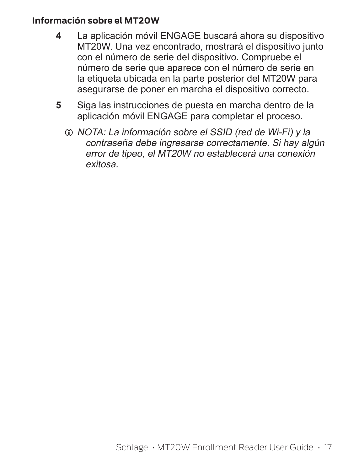#### **Información sobre el MT20W**

- **4** La aplicación móvil ENGAGE buscará ahora su dispositivo MT20W. Una vez encontrado, mostrará el dispositivo junto con el número de serie del dispositivo. Compruebe el número de serie que aparece con el número de serie en la etiqueta ubicada en la parte posterior del MT20W para asegurarse de poner en marcha el dispositivo correcto.
- **5** Siga las instrucciones de puesta en marcha dentro de la aplicación móvil ENGAGE para completar el proceso.
	- L NOTA: La información sobre el SSID (red de Wi-Fi) y la contraseña debe ingresarse correctamente. Si hay algún error de tipeo, el MT20W no establecerá una conexión exitosa.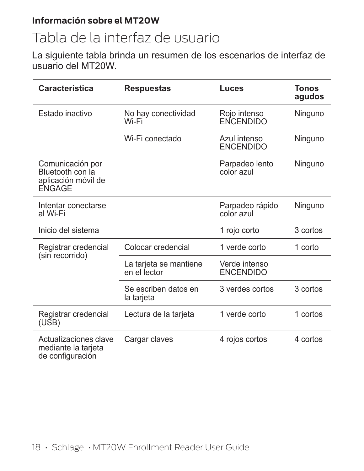#### **Información sobre el MT20W**

## Tabla de la interfaz de usuario

La siguiente tabla brinda un resumen de los escenarios de interfaz de usuario del MT20W.

| Característica                                                        | <b>Respuestas</b>                      | Luces                             | <b>Tonos</b><br>agudos |
|-----------------------------------------------------------------------|----------------------------------------|-----------------------------------|------------------------|
| Estado inactivo                                                       | No hay conectividad<br>Wi-Fi           | Rojo intenso<br>ENCENDIDO         | Ninguno                |
|                                                                       | Wi-Fi conectado                        | Azul intenso<br><b>ENCENDIDO</b>  | Ninguno                |
| Comunicación por<br>Bluetooth con la<br>aplicación móvil de<br>ENGAGE |                                        | Parpadeo lento<br>color azul      | Ninguno                |
| Intentar conectarse<br>al Wi-Fi                                       |                                        | Parpadeo rápido<br>color azul     | Ninguno                |
| Inicio del sistema                                                    |                                        | 1 rojo corto                      | 3 cortos               |
| Registrar credencial<br>(sin recorrido)                               | Colocar credencial                     | 1 verde corto                     | 1 corto                |
|                                                                       | La tarjeta se mantiene<br>en el lector | Verde intenso<br><b>ENCENDIDO</b> |                        |
|                                                                       | Se escriben datos en<br>la tarjeta     | 3 verdes cortos                   | 3 cortos               |
| Registrar credencial<br>(USB)                                         | Lectura de la tarjeta                  | 1 verde corto                     | 1 cortos               |
| Actualizaciones clave<br>mediante la tarjeta<br>de configuración      | Cargar claves                          | 4 rojos cortos                    | 4 cortos               |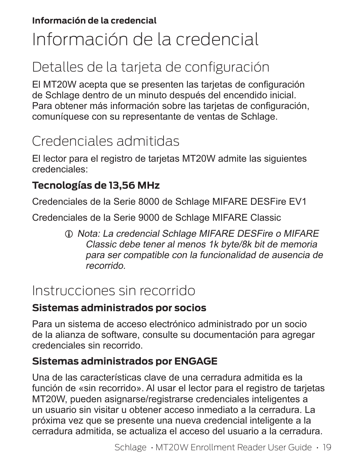#### **Información de la credencial**

# Información de la credencial

## Detalles de la tarjeta de configuración

El MT20W acepta que se presenten las tarjetas de configuración de Schlage dentro de un minuto después del encendido inicial. Para obtener más información sobre las tarietas de configuración, comuníquese con su representante de ventas de Schlage.

## Credenciales admitidas

El lector para el registro de tarjetas MT20W admite las siguientes credenciales:

### **Tecnologías de 13,56 MHz**

Credenciales de la Serie 8000 de Schlage MIFARE DESFire EV1

Credenciales de la Serie 9000 de Schlage MIFARE Classic

 $Q$  Nota: La credencial Schlage MIFARE DESFire o MIFARE Classic debe tener al menos 1k byte/8k bit de memoria para ser compatible con la funcionalidad de ausencia de recorrido.

## Instrucciones sin recorrido

### **Sistemas administrados por socios**

Para un sistema de acceso electrónico administrado por un socio de la alianza de software, consulte su documentación para agregar credenciales sin recorrido.

### **Sistemas administrados por ENGAGE**

Una de las características clave de una cerradura admitida es la función de «sin recorrido». Al usar el lector para el registro de tarjetas MT20W, pueden asignarse/registrarse credenciales inteligentes a un usuario sin visitar u obtener acceso inmediato a la cerradura. La próxima vez que se presente una nueva credencial inteligente a la cerradura admitida, se actualiza el acceso del usuario a la cerradura.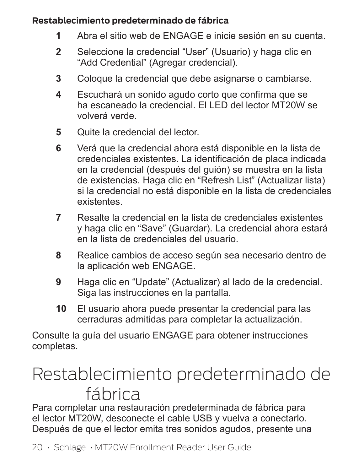#### **Restablecimiento predeterminado de fábrica**

- **1** Abra el sitio web de ENGAGE e inicie sesión en su cuenta.
- **2** Seleccione la credencial "User" (Usuario) y haga clic en "Add Credential" (Agregar credencial).
- **3** Coloque la credencial que debe asignarse o cambiarse.
- **4** Escuchará un sonido agudo corto que confirma que se ha escaneado la credencial. El LED del lector MT20W se volverá verde.
- **5** Quite la credencial del lector.
- **6** Verá que la credencial ahora está disponible en la lista de credenciales existentes. La identificación de placa indicada en la credencial (después del guión) se muestra en la lista de existencias. Haga clic en "Refresh List" (Actualizar lista) si la credencial no está disponible en la lista de credenciales existentes.
- **7** Resalte la credencial en la lista de credenciales existentes y haga clic en "Save" (Guardar). La credencial ahora estará en la lista de credenciales del usuario.
- **8** Realice cambios de acceso según sea necesario dentro de la aplicación web ENGAGE.
- **9** Haga clic en "Update" (Actualizar) al lado de la credencial. Siga las instrucciones en la pantalla.
- **10** El usuario ahora puede presentar la credencial para las cerraduras admitidas para completar la actualización.

Consulte la guía del usuario ENGAGE para obtener instrucciones completas.

# Restablecimiento predeterminado de fábrica

Para completar una restauración predeterminada de fábrica para el lector MT20W, desconecte el cable USB y vuelva a conectarlo. Después de que el lector emita tres sonidos agudos, presente una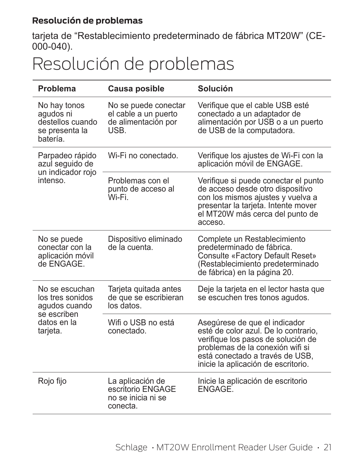#### **Resolución de problemas**

tarjeta de "Restablecimiento predeterminado de fábrica MT20W" (CE-000-040).

## Resolución de problemas

| Problema                                                                    | Causa posible                                                              | Solución                                                                                                                                                                                                                  |
|-----------------------------------------------------------------------------|----------------------------------------------------------------------------|---------------------------------------------------------------------------------------------------------------------------------------------------------------------------------------------------------------------------|
| No hay tonos<br>aqudos ni<br>destellos cuando<br>se presenta la<br>batería. | No se puede conectar<br>el cable a un puerto<br>de alimentación por<br>USB | Verifique que el cable USB esté<br>conectado a un adaptador de<br>alimentación por USB o a un puerto<br>de USB de la computadora.                                                                                         |
| Parpadeo rápido<br>azul seguido de<br>un indicador roio                     | Wi-Fi no conectado.                                                        | Verifique los ajustes de Wi-Fi con la<br>aplicación móvil de ENGAGE.                                                                                                                                                      |
| intenso                                                                     | Problemas con el<br>punto de acceso al<br>Wi-Fi                            | Verifique si puede conectar el punto<br>de acceso desde otro dispositivo<br>con los mismos ajustes y vuelva a<br>presentar la tarjeta. Intente mover<br>el MT20W más cerca del punto de<br>acceso.                        |
| No se puede<br>conectar con la<br>aplicación móvil<br>de ENGAGE.            | Dispositivo eliminado<br>de la cuenta.                                     | Complete un Restablecimiento<br>predeterminado de fábrica.<br>Consulte «Factory Default Reset»<br>(Restablecimiento predeterminado<br>de fábrica) en la página 20.                                                        |
| No se escuchan<br>los tres sonidos<br>agudos cuando<br>se escriben          | Tarjeta quitada antes<br>de que se escribieran<br>los datos                | Deje la tarjeta en el lector hasta que<br>se escuchen tres tonos agudos.                                                                                                                                                  |
| datos en la<br>tarjeta.                                                     | Wifi o USB no está<br>conectado.                                           | Asegúrese de que el indicador<br>esté de color azul. De lo contrario,<br>verifique los pasos de solución de<br>problemas de la conexión wifi si<br>está conectado a través de USB,<br>inicie la aplicación de escritorio. |
| Rojo fijo                                                                   | La aplicación de<br>escritorio ENGAGE<br>no se inicia ni se<br>conecta.    | Inicie la aplicación de escritorio<br>ENGAGE.                                                                                                                                                                             |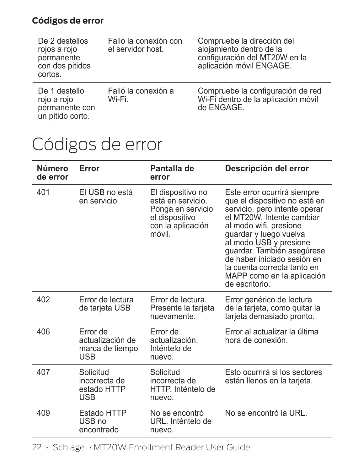### **Códigos de error**

| De 2 destellos<br>rojos a rojo<br>permanente<br>con dos pitidos<br>cortos. | Falló la conexión con<br>el servidor host. | Compruebe la dirección del<br>alojamiento dentro de la<br>configuración del MT20W en la<br>aplicación móvil ENGAGE. |
|----------------------------------------------------------------------------|--------------------------------------------|---------------------------------------------------------------------------------------------------------------------|
| De 1 destello<br>rojo a rojo<br>permanente con<br>un pitido corto.         | Falló la conexión a<br>Wi-Fi.              | Compruebe la configuración de red<br>Wi-Fi dentro de la aplicación móvil<br>de ENGAGE.                              |

## Códigos de error

| Número<br>de error | Error                                                  | Pantalla de<br>error                                                                                         | Descripción del error                                                                                                                                                                                                                                                                                                                                |
|--------------------|--------------------------------------------------------|--------------------------------------------------------------------------------------------------------------|------------------------------------------------------------------------------------------------------------------------------------------------------------------------------------------------------------------------------------------------------------------------------------------------------------------------------------------------------|
| 401                | El USB no está<br>en servicio                          | El dispositivo no<br>está en servicio.<br>Ponga en servicio<br>el dispositivo<br>con la aplicación<br>móvil. | Este error ocurrirá siempre<br>que el dispositivo no esté en<br>servicio, pero intente operar<br>el MT20W. Intente cambiar<br>al modo wifi, presione<br>guardar y luego vuelva<br>al modo USB y presione<br>guardar. También asegúrese<br>de haber iniciado sesión en<br>la cuenta correcta tanto en<br>MAPP como en la aplicación<br>de escritorio. |
| 402                | Error de lectura<br>de tarjeta USB                     | Error de lectura.<br>Presente la tarjeta<br>nuevamente.                                                      | Error genérico de lectura<br>de la tarjeta, como quitar la<br>tarjeta demasiado pronto.                                                                                                                                                                                                                                                              |
| 406                | Frror de<br>actualización de<br>marca de tiempo<br>USB | Frror de<br>actualización<br>Inténtelo de<br>nuevo.                                                          | Error al actualizar la última<br>hora de conexión                                                                                                                                                                                                                                                                                                    |
| 407                | Solicitud<br>incorrecta de<br>estado HTTP<br>USB       | Solicitud<br>incorrecta de<br>HTTP. Inténtelo de<br>nuevo.                                                   | Esto ocurrirá si los sectores<br>están llenos en la tarjeta.                                                                                                                                                                                                                                                                                         |
| 409                | Estado HTTP<br>USB no<br>encontrado                    | No se encontró<br>URL. Inténtelo de<br>nuevo.                                                                | No se encontró la URL.                                                                                                                                                                                                                                                                                                                               |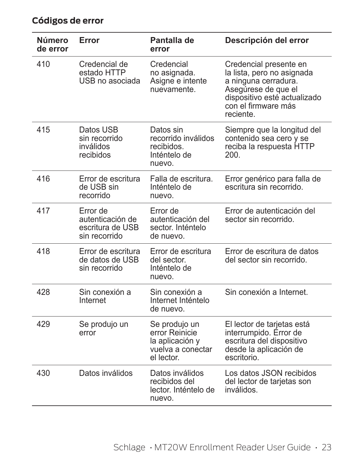| Número<br>de error | Error                                                             | Pantalla de<br>error                                                                  | Descripción del error                                                                                                                                                   |
|--------------------|-------------------------------------------------------------------|---------------------------------------------------------------------------------------|-------------------------------------------------------------------------------------------------------------------------------------------------------------------------|
| 410                | Credencial de<br>estado HTTP<br>USB no asociada                   | Credencial<br>no asignada.<br>Asigne e intente<br>nuevamente.                         | Credencial presente en<br>la lista, pero no asignada<br>a ninguna cerradura.<br>Asegúrese de que el<br>dispositivo esté actualizado<br>con el firmware más<br>reciente. |
| 415                | Datos USB<br>sin recorrido<br>inválidos<br>recibidos              | Datos sin<br>recorrido inválidos<br>recibidos.<br>Inténtelo de<br>nuevo.              | Siempre que la longitud del<br>contenido sea cero y se<br>reciba la respuesta HTTP<br>200.                                                                              |
| 416                | Error de escritura<br>de USB sin<br>recorrido                     | Falla de escritura.<br>Inténtelo de<br>nuevo.                                         | Error genérico para falla de<br>escritura sin recorrido.                                                                                                                |
| 417                | Error de<br>autenticación de<br>escritura de USB<br>sin recorrido | Error de<br>autenticación del<br>sector. Inténtelo<br>de nuevo.                       | Error de autenticación del<br>sector sin recorrido.                                                                                                                     |
| 418                | Error de escritura<br>de datos de USB<br>sin recorrido            | Error de escritura<br>del sector.<br>Inténtelo de<br>nuevo.                           | Error de escritura de datos<br>del sector sin recorrido.                                                                                                                |
| 428                | Sin conexión a<br>Internet                                        | Sin conexión a<br>Internet Inténtelo<br>de nuevo.                                     | Sin conexión a Internet.                                                                                                                                                |
| 429                | Se produjo un<br>error                                            | Se produjo un<br>error Reinicie<br>la aplicación y<br>vuelva a conectar<br>el lector. | El lector de tarjetas está<br>interrumpido. Error de<br>escritura del dispositivo<br>desde la aplicación de<br>escritorio.                                              |
| 430                | Datos inválidos                                                   | Datos inválidos<br>recibidos del<br>lector. Inténtelo de<br>nuevo.                    | Los datos JSON recibidos<br>del lector de tarjetas son<br>inválidos.                                                                                                    |

### **Códigos de error**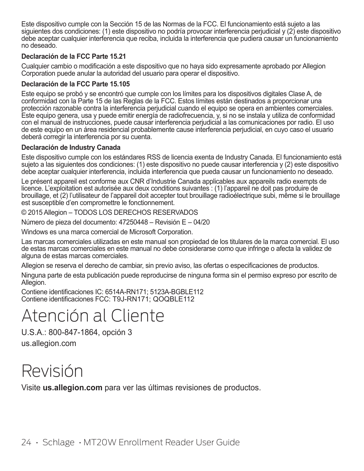Este dispositivo cumple con la Sección 15 de las Normas de la FCC. El funcionamiento está sujeto a las siguientes dos condiciones: (1) este dispositivo no podría provocar interferencia perjudicial y (2) este dispositivo debe aceptar cualquier interferencia que reciba, incluida la interferencia que pudiera causar un funcionamiento no deseado.

#### **Declaración de la FCC Parte 15.21**

Cualquier cambio o modificación a este dispositivo que no haya sido expresamente aprobado por Allegion Corporation puede anular la autoridad del usuario para operar el dispositivo.

#### **Declaración de la FCC Parte 15.105**

Este equipo se probó y se encontró que cumple con los límites para los dispositivos digitales Clase A, de conformidad con la Parte 15 de las Reglas de la FCC. Estos límites están destinados a proporcionar una protección razonable contra la interferencia perjudicial cuando el equipo se opera en ambientes comerciales. Este equipo genera, usa y puede emitir energía de radiofrecuencia, y, si no se instala y utiliza de conformidad con el manual de instrucciones, puede causar interferencia perjudicial a las comunicaciones por radio. El uso de este equipo en un área residencial probablemente cause interferencia perjudicial, en cuyo caso el usuario deberá corregir la interferencia por su cuenta.

#### **Declaración de Industry Canada**

Este dispositivo cumple con los estándares RSS de licencia exenta de Industry Canada. El funcionamiento está sujeto a las siguientes dos condiciones: (1) este dispositivo no puede causar interferencia y (2) este dispositivo debe aceptar cualquier interferencia, incluida interferencia que pueda causar un funcionamiento no deseado.

Le présent appareil est conforme aux CNR d'Industrie Canada applicables aux appareils radio exempts de licence. L'exploitation est autorisée aux deux conditions suivantes : (1) l'appareil ne doit pas produire de brouillage, et (2) l'utilisateur de l'appareil doit accepter tout brouillage radioélectrique subi, même si le brouillage est susceptible d'en compromettre le fonctionnement.

© 2015 Allegion – TODOS LOS DERECHOS RESERVADOS

Número de pieza del documento: 47250448 – Revisión E – 04/20

Windows es una marca comercial de Microsoft Corporation.

Las marcas comerciales utilizadas en este manual son propiedad de los titulares de la marca comercial. El uso de estas marcas comerciales en este manual no debe considerarse como que infringe o afecta la validez de alguna de estas marcas comerciales.

Allegion se reserva el derecho de cambiar, sin previo aviso, las ofertas o especificaciones de productos.

Ninguna parte de esta publicación puede reproducirse de ninguna forma sin el permiso expreso por escrito de Allegion.

Contiene identificaciones IC: 6514A-RN171; 5123A-BGBLE112 Contiene identificaciones FCC: T9J-RN171; QOQBLE112

## Atención al Cliente

U.S.A.: 800-847-1864, opción 3 us.allegion.com

## Revisión

Visite **us.allegion.com** para ver las últimas revisiones de productos.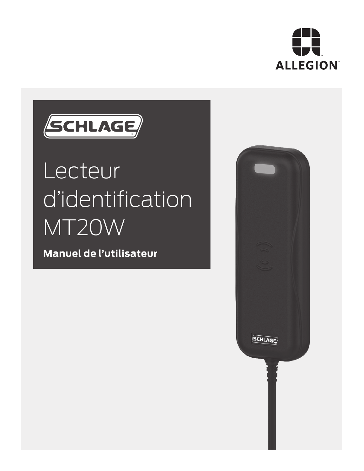



# Lecteur d'identification MT20W

**Manuel de l'utilisateur**

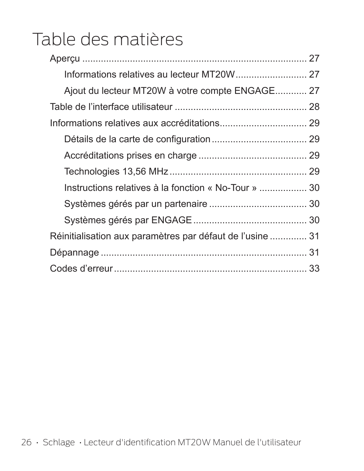# Table des matières

| Ajout du lecteur MT20W à votre compte ENGAGE 27           |  |
|-----------------------------------------------------------|--|
|                                                           |  |
|                                                           |  |
|                                                           |  |
|                                                           |  |
|                                                           |  |
| Instructions relatives à la fonction « No-Tour »  30      |  |
|                                                           |  |
|                                                           |  |
| Réinitialisation aux paramètres par défaut de l'usine  31 |  |
|                                                           |  |
|                                                           |  |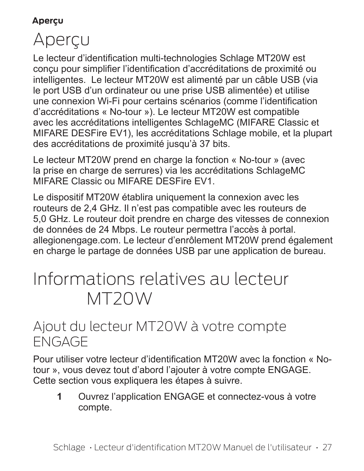#### **Aperçu**

# Aperçu

Le lecteur d'identification multi-technologies Schlage MT20W est conçu pour simplifier l'identification d'accréditations de proximité ou intelligentes. Le lecteur MT20W est alimenté par un câble USB (via le port USB d'un ordinateur ou une prise USB alimentée) et utilise une connexion Wi-Fi pour certains scénarios (comme l'identification d'accréditations « No-tour »). Le lecteur MT20W est compatible avec les accréditations intelligentes SchlageMC (MIFARE Classic et MIFARE DESFire EV1), les accréditations Schlage mobile, et la plupart des accréditations de proximité jusqu'à 37 bits.

Le lecteur MT20W prend en charge la fonction « No-tour » (avec la prise en charge de serrures) via les accréditations SchlageMC MIFARE Classic ou MIFARE DESFire EV1.

Le dispositif MT20W établira uniquement la connexion avec les routeurs de 2,4 GHz. Il n'est pas compatible avec les routeurs de 5,0 GHz. Le routeur doit prendre en charge des vitesses de connexion de données de 24 Mbps. Le routeur permettra l'accès à portal. allegionengage.com. Le lecteur d'enrôlement MT20W prend également en charge le partage de données USB par une application de bureau.

## Informations relatives au lecteur MT20W

## Ajout du lecteur MT20W à votre compte ENGAGE

Pour utiliser votre lecteur d'identification MT20W avec la fonction « Notour », vous devez tout d'abord l'ajouter à votre compte ENGAGE. Cette section vous expliquera les étapes à suivre.

**1** Ouvrez l'application ENGAGE et connectez-vous à votre compte.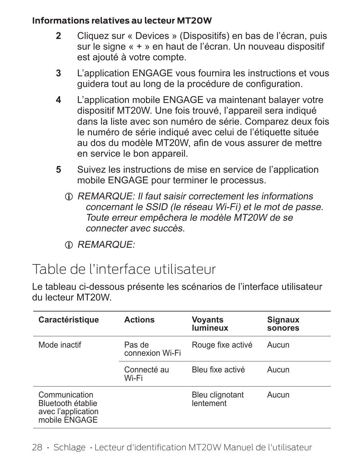#### **Informations relatives au lecteur MT20W**

- **2** Cliquez sur « Devices » (Dispositifs) en bas de l'écran, puis sur le signe « + » en haut de l'écran. Un nouveau dispositif est ajouté à votre compte.
- **3** L'application ENGAGE vous fournira les instructions et vous guidera tout au long de la procédure de configuration.
- **4** L'application mobile ENGAGE va maintenant balayer votre dispositif MT20W. Une fois trouvé, l'appareil sera indiqué dans la liste avec son numéro de série. Comparez deux fois le numéro de série indiqué avec celui de l'étiquette située au dos du modèle MT20W, afin de vous assurer de mettre en service le bon appareil.
- **5** Suivez les instructions de mise en service de l'application mobile ENGAGE pour terminer le processus.
	- $D$  REMARQUE: Il faut saisir correctement les informations concernant le SSID (le réseau Wi-Fi) et le mot de passe. Toute erreur empêchera le modèle MT20W de se connecter avec succès.
	- $\oplus$  REMARQUE:

## Table de l'interface utilisateur

Le tableau ci-dessous présente les scénarios de l'interface utilisateur du lecteur MT20W.

| Caractéristique                                                           | <b>Actions</b>       | Voyants<br>lumineux          | Signaux<br>sonores |
|---------------------------------------------------------------------------|----------------------|------------------------------|--------------------|
| Mode inactif<br>Pas de<br>connexion Wi-Fi                                 |                      | Rouge fixe activé            | Aucun              |
|                                                                           | Connecté au<br>Wi-Fi | Bleu fixe activé             | Aucun              |
| Communication<br>Bluetooth établie<br>avec l'application<br>mobile ENGAGE |                      | Bleu clignotant<br>lentement | Aucun              |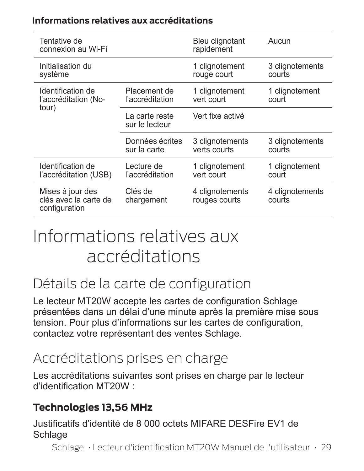#### **Informations relatives aux accréditations**

| Tentative de<br>connexion au Wi-Fi                         |                                  | Bleu clignotant<br>rapidement                           | Aucun                     |
|------------------------------------------------------------|----------------------------------|---------------------------------------------------------|---------------------------|
| Initialisation du<br>système                               |                                  | 1 clignotement<br>rouge court                           | 3 clignotements<br>courts |
| Identification de<br>l'accréditation (No-                  | Placement de<br>l'accréditation  | 1 clignotement<br>1 clignotement<br>vert court<br>court |                           |
| tour)                                                      | La carte reste<br>sur le lecteur | Vert fixe activé                                        |                           |
|                                                            | Données écrites<br>sur la carte  | 3 clignotements<br>verts courts                         | 3 clignotements<br>courts |
| Identification de<br>l'accréditation (USB)                 | Lecture de<br>l'accréditation    | 1 clignotement<br>vert court                            | 1 clignotement<br>court   |
| Mises à jour des<br>clés avec la carte de<br>configuration | Clés de<br>chargement            | 4 clignotements<br>rouges courts                        | 4 clignotements<br>courts |

## Informations relatives aux accréditations

## Détails de la carte de configuration

Le lecteur MT20W accepte les cartes de configuration Schlage présentées dans un délai d'une minute après la première mise sous tension. Pour plus d'informations sur les cartes de configuration, contactez votre représentant des ventes Schlage.

## Accréditations prises en charge

Les accréditations suivantes sont prises en charge par le lecteur d'identification MT20W :

### **Technologies 13,56 MHz**

Justificatifs d'identité de 8 000 octets MIFARE DESFire EV1 de **Schlage** 

Schlage • Lecteur d'identification MT20W Manuel de l'utilisateur • 29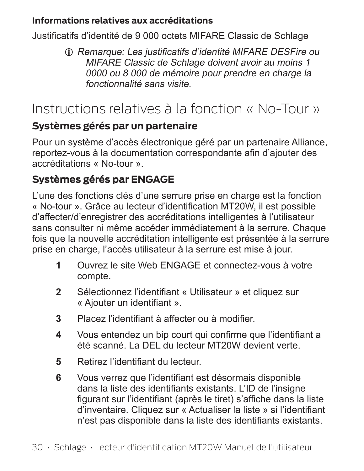#### **Informations relatives aux accréditations**

Justificatifs d'identité de 9 000 octets MIFARE Classic de Schlage

L Remarque: Les justificatifs d'identité MIFARE DESFire ou MIFARE Classic de Schlage doivent avoir au moins 1 0000 ou 8 000 de mémoire pour prendre en charge la fonctionnalité sans visite.

## Instructions relatives à la fonction « No-Tour »

### **Systèmes gérés par un partenaire**

Pour un système d'accès électronique géré par un partenaire Alliance, reportez-vous à la documentation correspondante afin d'ajouter des accréditations « No-tour ».

## **Systèmes gérés par ENGAGE**

L'une des fonctions clés d'une serrure prise en charge est la fonction « No-tour ». Grâce au lecteur d'identification MT20W, il est possible d'affecter/d'enregistrer des accréditations intelligentes à l'utilisateur sans consulter ni même accéder immédiatement à la serrure. Chaque fois que la nouvelle accréditation intelligente est présentée à la serrure prise en charge, l'accès utilisateur à la serrure est mise à jour.

- **1** Ouvrez le site Web ENGAGE et connectez-vous à votre compte.
- **2** Sélectionnez l'identifiant « Utilisateur » et cliquez sur « Ajouter un identifiant ».
- **3** Placez l'identifiant à affecter ou à modifier.
- **4** Vous entendez un bip court qui confirme que l'identifiant a été scanné. La DEL du lecteur MT20W devient verte.
- **5** Retirez l'identifiant du lecteur.
- **6** Vous verrez que l'identifiant est désormais disponible dans la liste des identifiants existants. L'ID de l'insigne figurant sur l'identifiant (après le tiret) s'affiche dans la liste d'inventaire. Cliquez sur « Actualiser la liste » si l'identifiant n'est pas disponible dans la liste des identifiants existants.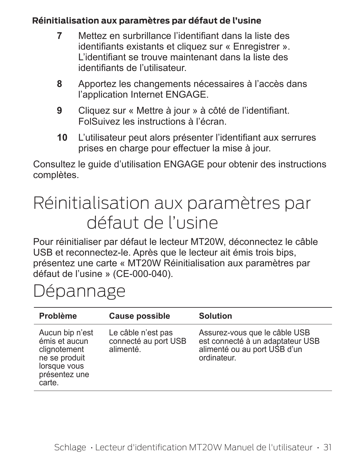#### **Réinitialisation aux paramètres par défaut de l'usine**

- **7** Mettez en surbrillance l'identifiant dans la liste des identifiants existants et cliquez sur « Enregistrer ». L'identifiant se trouve maintenant dans la liste des identifiants de l'utilisateur.
- **8** Apportez les changements nécessaires à l'accès dans l'application Internet ENGAGE.
- **9** Cliquez sur « Mettre à jour » à côté de l'identifiant. FolSuivez les instructions à l'écran.
- **10** L'utilisateur peut alors présenter l'identifiant aux serrures prises en charge pour effectuer la mise à jour.

Consultez le guide d'utilisation ENGAGE pour obtenir des instructions complètes.

# Réinitialisation aux paramètres par défaut de l'usine

Pour réinitialiser par défaut le lecteur MT20W, déconnectez le câble USB et reconnectez-le. Après que le lecteur ait émis trois bips, présentez une carte « MT20W Réinitialisation aux paramètres par défaut de l'usine » (CE-000-040).

# Dépannage

| Problème                                                                                                     | Cause possible                                          | Solution                                                                                                         |
|--------------------------------------------------------------------------------------------------------------|---------------------------------------------------------|------------------------------------------------------------------------------------------------------------------|
| Aucun bip n'est<br>émis et aucun<br>clignotement<br>ne se produit<br>lorsque vous<br>présentez une<br>carte. | Le câble n'est pas<br>connecté au port USB<br>alimenté. | Assurez-vous que le câble USB<br>est connecté à un adaptateur USB<br>alimenté ou au port USB d'un<br>ordinateur. |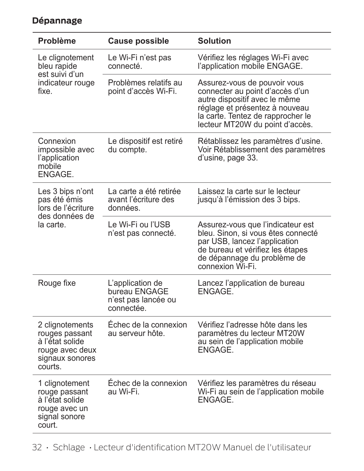| Problème                                                                                              | <b>Cause possible</b>                                                  | <b>Solution</b>                                                                                                                                                                                            |  |
|-------------------------------------------------------------------------------------------------------|------------------------------------------------------------------------|------------------------------------------------------------------------------------------------------------------------------------------------------------------------------------------------------------|--|
| Le clignotement<br>bleu rapide<br>est suivi d'un                                                      | Le Wi-Fi n'est pas<br>connecté.                                        | Vérifiez les réglages Wi-Fi avec<br>l'application mobile ENGAGE.                                                                                                                                           |  |
| indicateur rouge<br>fixe.                                                                             | Problèmes relatifs au<br>point d'accès Wi-Fi.                          | Assurez-vous de pouvoir vous<br>connecter au point d'accès d'un<br>autre dispositif avec le même<br>réglage et présentez à nouveau<br>la carte. Tentez de rapprocher le<br>lecteur MT20W du point d'accès. |  |
| Connexion<br>impossible avec<br>l'application<br>mobile<br>ENGAGE.                                    | Le dispositif est retiré<br>du compte.                                 | Rétablissez les paramètres d'usine.<br>Voir Rétablissement des paramètres<br>d'usine, page 33.                                                                                                             |  |
| Les 3 bips n'ont<br>pas été émis<br>lors de l'écriture                                                | La carte a été retirée<br>avant l'écriture des<br>données.             | Laissez la carte sur le lecteur<br>jusqu'à l'émission des 3 bips.                                                                                                                                          |  |
| des données de<br>la carte.                                                                           | Le Wi-Fi ou l'USB<br>n'est pas connecté.                               | Assurez-vous que l'indicateur est<br>bleu. Sinon, si vous êtes connecté<br>par USB, lancez l'application<br>de bureau et vérifiez les étapes<br>de dépannage du problème de<br>connexion Wi-Fi.            |  |
| Rouge fixe                                                                                            | L'application de<br>bureau ENGAGE<br>n'est pas lancée ou<br>connectée. | Lancez l'application de bureau<br>ENGAGE.                                                                                                                                                                  |  |
| 2 clignotements<br>rouges passant<br>à l'état solide<br>rouge avec deux<br>signaux sonores<br>courts. | Échec de la connexion<br>au serveur hôte.                              | Vérifiez l'adresse hôte dans les<br>paramètres du lecteur MT20W<br>au sein de l'application mobile<br>ENGAGE.                                                                                              |  |
| 1 clignotement<br>rouge passant<br>à l'état solide<br>rouge avec un<br>signal sonore<br>court.        | Échec de la connexion<br>au Wi-Fi.                                     | Vérifiez les paramètres du réseau<br>Wi-Fi au sein de l'application mobile<br>ENGAGE.                                                                                                                      |  |

### **Dépannage**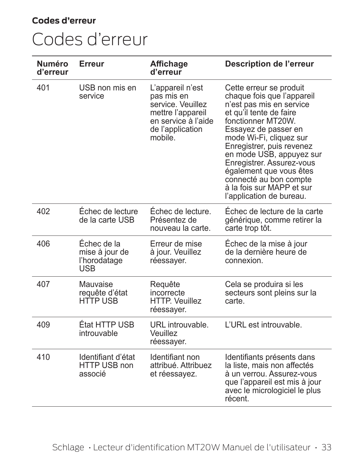#### **Codes d'erreur**

# Codes d'erreur

| Numéro<br>d'erreur | Erreur                                                      | Affichage<br>d'erreur                                                                                                          | Description de l'erreur                                                                                                                                                                                                                                                                                                                                                                   |
|--------------------|-------------------------------------------------------------|--------------------------------------------------------------------------------------------------------------------------------|-------------------------------------------------------------------------------------------------------------------------------------------------------------------------------------------------------------------------------------------------------------------------------------------------------------------------------------------------------------------------------------------|
| 401                | USB non mis en<br>service                                   | L'appareil n'est<br>pas mis en<br>service. Veuillez<br>mettre l'appareil<br>en service à l'aide<br>de l'application<br>mobile. | Cette erreur se produit<br>chaque fois que l'appareil<br>n'est pas mis en service<br>et qu'il tente de faire<br>fonctionner MT20W.<br>Essayez de passer en<br>mode Wi-Fi, cliquez sur<br>Enregistrer, puis revenez<br>en mode USB, appuyez sur<br>Enregistrer. Assurez-vous<br>également que vous êtes<br>connecté au bon compte<br>à la fois sur MAPP et sur<br>l'application de bureau. |
| 402                | Échec de lecture<br>de la carte USB                         | Échec de lecture.<br>Présentez de<br>nouveau la carte.                                                                         | Échec de lecture de la carte<br>générique, comme retirer la<br>carte trop tôt.                                                                                                                                                                                                                                                                                                            |
| 406                | Échec de la<br>mise à jour de<br>l'horodatage<br><b>USB</b> | Erreur de mise<br>à jour. Veuillez<br>réessayer.                                                                               | Échec de la mise à jour<br>de la dernière heure de<br>connexion.                                                                                                                                                                                                                                                                                                                          |
| 407                | Mauvaise<br>requête d'état<br><b>HTTP USB</b>               | Requête<br>incorrecte<br><b>HTTP. Veuillez</b><br>réessayer.                                                                   | Cela se produira si les<br>secteurs sont pleins sur la<br>carte                                                                                                                                                                                                                                                                                                                           |
| 409                | État HTTP USB<br>introuvable                                | URL introuvable.<br>Veuillez<br>réessayer.                                                                                     | L'URL est introuvable.                                                                                                                                                                                                                                                                                                                                                                    |
| 410                | Identifiant d'état<br>HTTP USB non<br>associé               | Identifiant non<br>attribué. Attribuez<br>et réessayez.                                                                        | Identifiants présents dans<br>la liste, mais non affectés<br>à un verrou. Assurez-vous<br>que l'appareil est mis à jour<br>avec le micrologiciel le plus<br>récent.                                                                                                                                                                                                                       |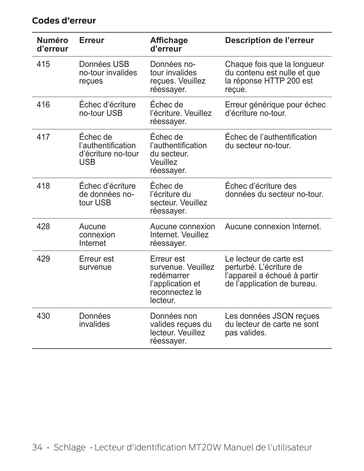| Numéro<br>d'erreur | Erreur                                                             | Affichage<br>d'erreur                                                                            | Description de l'erreur                                                                                           |
|--------------------|--------------------------------------------------------------------|--------------------------------------------------------------------------------------------------|-------------------------------------------------------------------------------------------------------------------|
| 415                | Données USB<br>no-tour invalides<br>reçues                         | Données no-<br>tour invalides<br>reçues. Veuillez<br>réessayer.                                  | Chaque fois que la longueur<br>du contenu est nulle et que<br>la réponse HTTP 200 est<br>recue.                   |
| 416                | Échec d'écriture<br>no-tour USB                                    | Échec de<br>l'écriture, Veuillez<br>réessayer.                                                   | Erreur générique pour échec<br>d'écriture no-tour.                                                                |
| 417                | Échec de<br>l'authentification<br>d'écriture no-tour<br><b>USB</b> | Échec de<br>l'authentification<br>du secteur.<br>Veuillez<br>réessayer.                          | Échec de l'authentification<br>du secteur no-tour.                                                                |
| 418                | Échec d'écriture<br>de données no-<br>tour USB                     | Échec de<br>l'écriture du<br>secteur. Veuillez<br>réessayer.                                     | Échec d'écriture des<br>données du secteur no-tour.                                                               |
| 428                | Aucune<br>connexion<br>Internet                                    | Aucune connexion<br>Internet. Veuillez<br>réessayer.                                             | Aucune connexion Internet                                                                                         |
| 429                | Erreur est<br>survenue                                             | Erreur est<br>survenue. Veuillez<br>redémarrer<br>l'application et<br>reconnectez le<br>lecteur. | Le lecteur de carte est<br>perturbé. L'écriture de<br>l'appareil a échoué à partir<br>de l'application de bureau. |
| 430                | Données<br>invalides                                               | Données non<br>valides reçues du<br>lecteur. Veuillez<br>réessayer.                              | Les données JSON reçues<br>du lecteur de carte ne sont<br>pas valides.                                            |

#### **Codes d'erreur**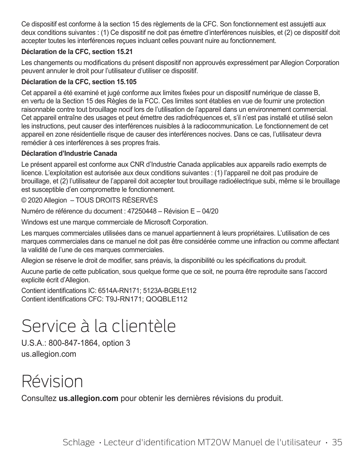Ce dispositif est conforme à la section 15 des règlements de la CFC. Son fonctionnement est assujetti aux deux conditions suivantes : (1) Ce dispositif ne doit pas émettre d'interférences nuisibles, et (2) ce dispositif doit accepter toutes les interférences reçues incluant celles pouvant nuire au fonctionnement.

#### **Déclaration de la CFC, section 15.21**

Les changements ou modifications du présent dispositif non approuvés expressément par Allegion Corporation peuvent annuler le droit pour l'utilisateur d'utiliser ce dispositif.

#### **Déclaration de la CFC, section 15.105**

Cet appareil a été examiné et jugé conforme aux limites fixées pour un dispositif numérique de classe B, en vertu de la Section 15 des Règles de la FCC. Ces limites sont établies en vue de fournir une protection raisonnable contre tout brouillage nocif lors de l'utilisation de l'appareil dans un environnement commercial. Cet appareil entraîne des usages et peut émettre des radiofréquences et, s'il n'est pas installé et utilisé selon les instructions, peut causer des interférences nuisibles à la radiocommunication. Le fonctionnement de cet appareil en zone résidentielle risque de causer des interférences nocives. Dans ce cas, l'utilisateur devra remédier à ces interférences à ses propres frais.

#### **Déclaration d'Industrie Canada**

Le présent appareil est conforme aux CNR d'Industrie Canada applicables aux appareils radio exempts de licence. L'exploitation est autorisée aux deux conditions suivantes : (1) l'appareil ne doit pas produire de brouillage, et (2) l'utilisateur de l'appareil doit accepter tout brouillage radioélectrique subi, même si le brouillage est susceptible d'en compromettre le fonctionnement.

#### © 2020 Allegion – TOUS DROITS RÉSERVÉS

Numéro de référence du document : 47250448 – Révision E – 04/20

Windows est une marque commerciale de Microsoft Corporation.

Les marques commerciales utilisées dans ce manuel appartiennent à leurs propriétaires. L'utilisation de ces marques commerciales dans ce manuel ne doit pas être considérée comme une infraction ou comme affectant la validité de l'une de ces marques commerciales.

Allegion se réserve le droit de modifier, sans préavis, la disponibilité ou les spécifications du produit.

Aucune partie de cette publication, sous quelque forme que ce soit, ne pourra être reproduite sans l'accord explicite écrit d'Allegion.

Contient identifications IC: 6514A-RN171; 5123A-BGBLE112 Contient identifications CFC: T9J-RN171; QOQBLE112

# Service à la clientèle

U.S.A.: 800-847-1864, option 3 us.allegion.com

# Révision

Consultez **us.allegion.com** pour obtenir les dernières révisions du produit.